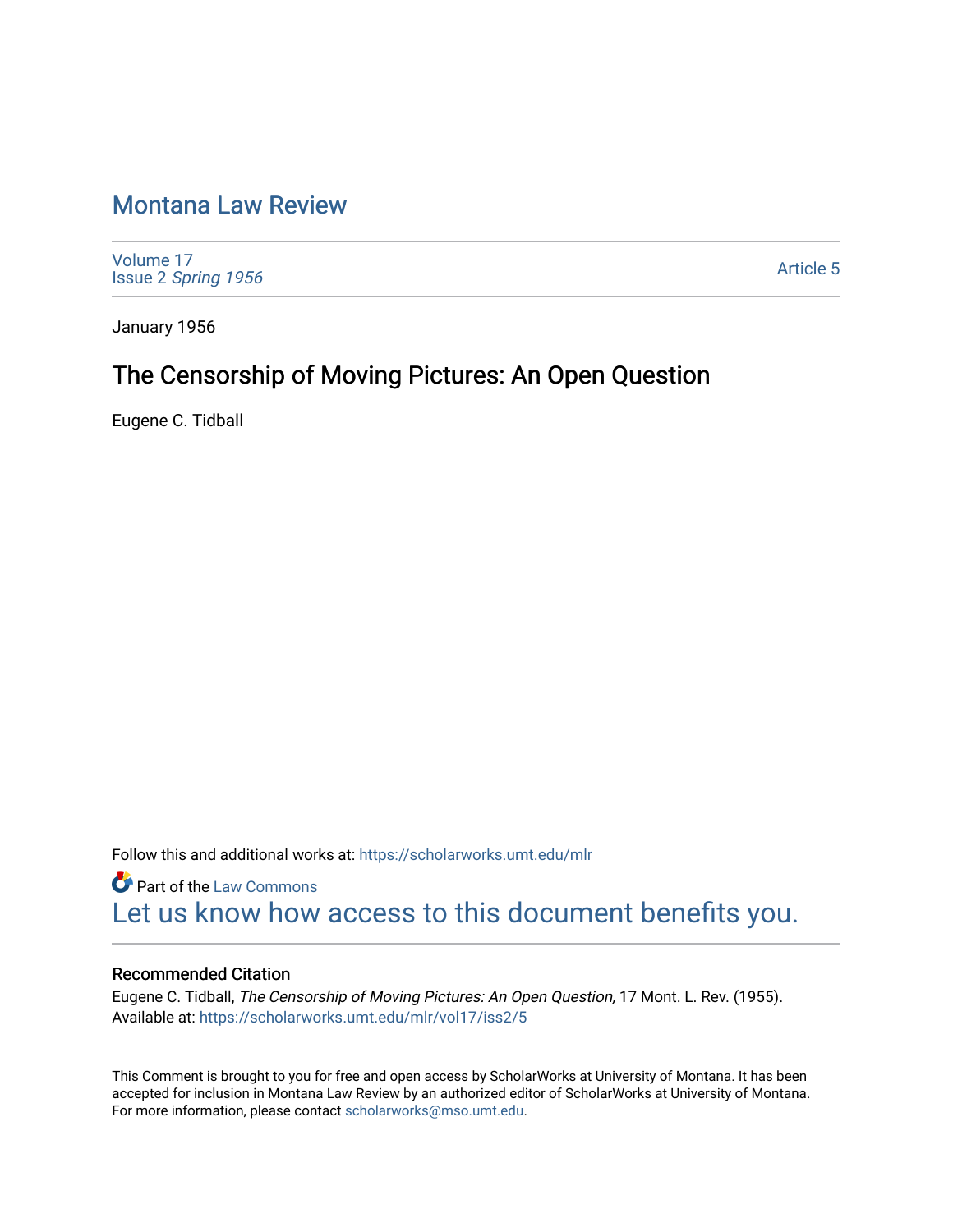## [Montana Law Review](https://scholarworks.umt.edu/mlr)

[Volume 17](https://scholarworks.umt.edu/mlr/vol17) Issue 2 [Spring 1956](https://scholarworks.umt.edu/mlr/vol17/iss2) 

[Article 5](https://scholarworks.umt.edu/mlr/vol17/iss2/5) 

January 1956

### The Censorship of Moving Pictures: An Open Question

Eugene C. Tidball

Follow this and additional works at: [https://scholarworks.umt.edu/mlr](https://scholarworks.umt.edu/mlr?utm_source=scholarworks.umt.edu%2Fmlr%2Fvol17%2Fiss2%2F5&utm_medium=PDF&utm_campaign=PDFCoverPages) 

**Part of the [Law Commons](http://network.bepress.com/hgg/discipline/578?utm_source=scholarworks.umt.edu%2Fmlr%2Fvol17%2Fiss2%2F5&utm_medium=PDF&utm_campaign=PDFCoverPages)** [Let us know how access to this document benefits you.](https://goo.gl/forms/s2rGfXOLzz71qgsB2) 

#### Recommended Citation

Eugene C. Tidball, The Censorship of Moving Pictures: An Open Question, 17 Mont. L. Rev. (1955). Available at: [https://scholarworks.umt.edu/mlr/vol17/iss2/5](https://scholarworks.umt.edu/mlr/vol17/iss2/5?utm_source=scholarworks.umt.edu%2Fmlr%2Fvol17%2Fiss2%2F5&utm_medium=PDF&utm_campaign=PDFCoverPages) 

This Comment is brought to you for free and open access by ScholarWorks at University of Montana. It has been accepted for inclusion in Montana Law Review by an authorized editor of ScholarWorks at University of Montana. For more information, please contact [scholarworks@mso.umt.edu.](mailto:scholarworks@mso.umt.edu)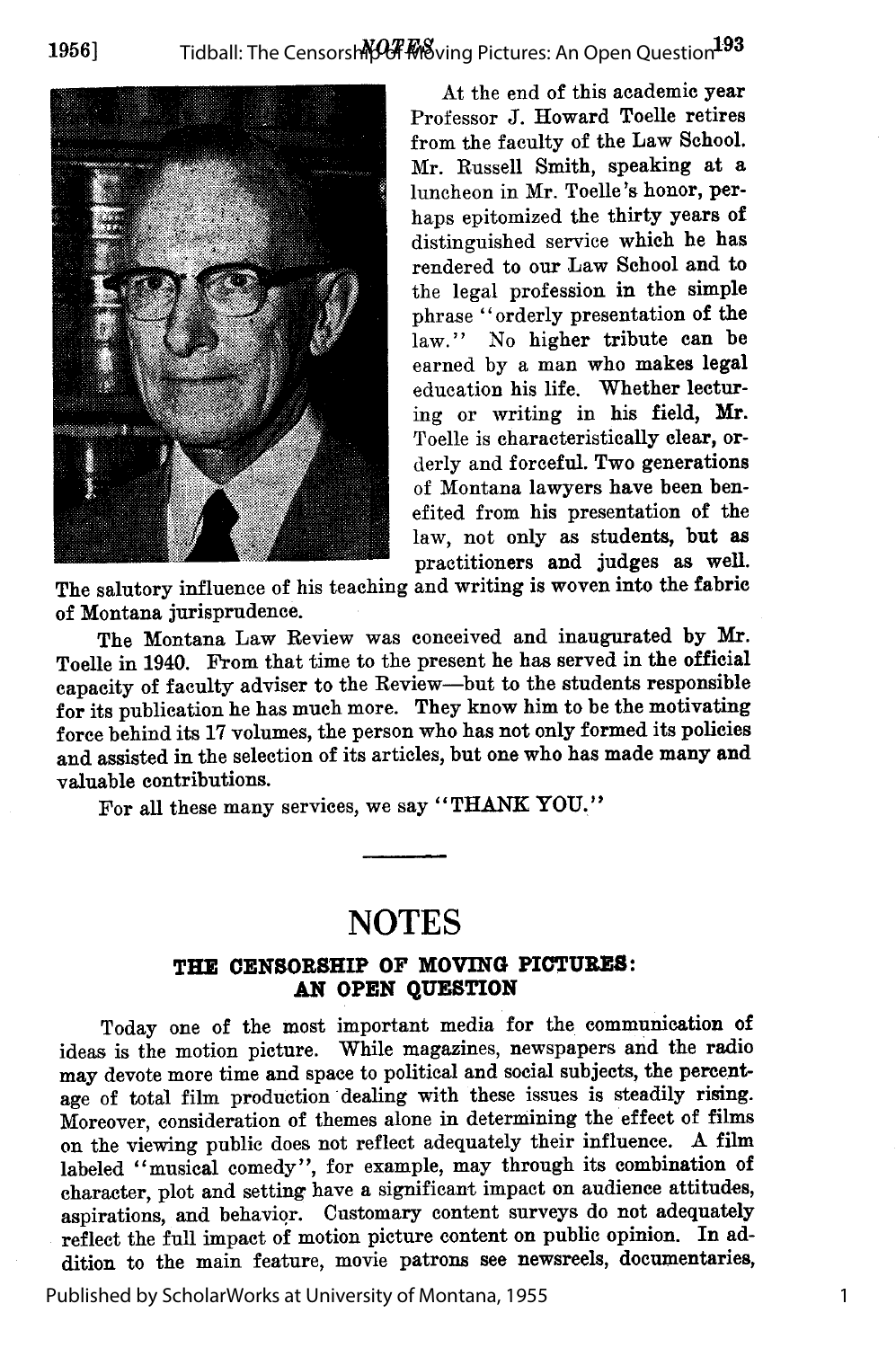

At the end of this academic year Professor **J.** Howard Toelle retires from the faculty of the Law School. Mr. Russell Smith, speaking at a luncheon in Mr. Toelle's honor, perhaps epitomized the thirty years **of** distinguished service which he has rendered to our Law School and to the legal profession in the simple phrase "orderly presentation of the law." No higher tribute can be earned **by** a man who makes legal education his life. Whether lecturing or writing in his field, Mr. Toelle is characteristically clear, orderly and forceful. Two generations of Montana lawyers have been benefited from his presentation of the law, not only as students, but as practitioners and judges as well.

1

The salutory influence of his teaching and writing is woven into the fabric of Montana jurisprudence.

The Montana Law Review was conceived and inaugurated **by** Mr. Toelle in 1940. From that time to the present he has served in the official capacity of faculty adviser to the Review-but to the students responsible for its publication he has much more. They know him to be the motivating force behind its **17** volumes, the person who has not only formed its policies and assisted in the selection of its articles, but one who has made many and valuable contributions.

For all these many services, we say "THANK YOU."

### **NOTES**

#### **THE CENSORSHIP OF MOVING PICTURES: AN OPEN QUESTION**

Today one of the most important media for the communication of ideas is the motion picture. While magazines, newspapers and the radio may devote more time and space to political and social subjects, the percentage of total film production dealing with these issues is steadily rising. Moreover, consideration of themes alone in determining the effect of films on the viewing public does not reflect adequately their influence. A film labeled "musical comedy", for example, may through its combination of character, plot and setting have a significant impact on audience attitudes, aspirations, and behavior. Customary content surveys do not adequately reflect the full impact **of** motion picture content on public opinion. In addition to the main feature, movie patrons see newsreels, documentaries,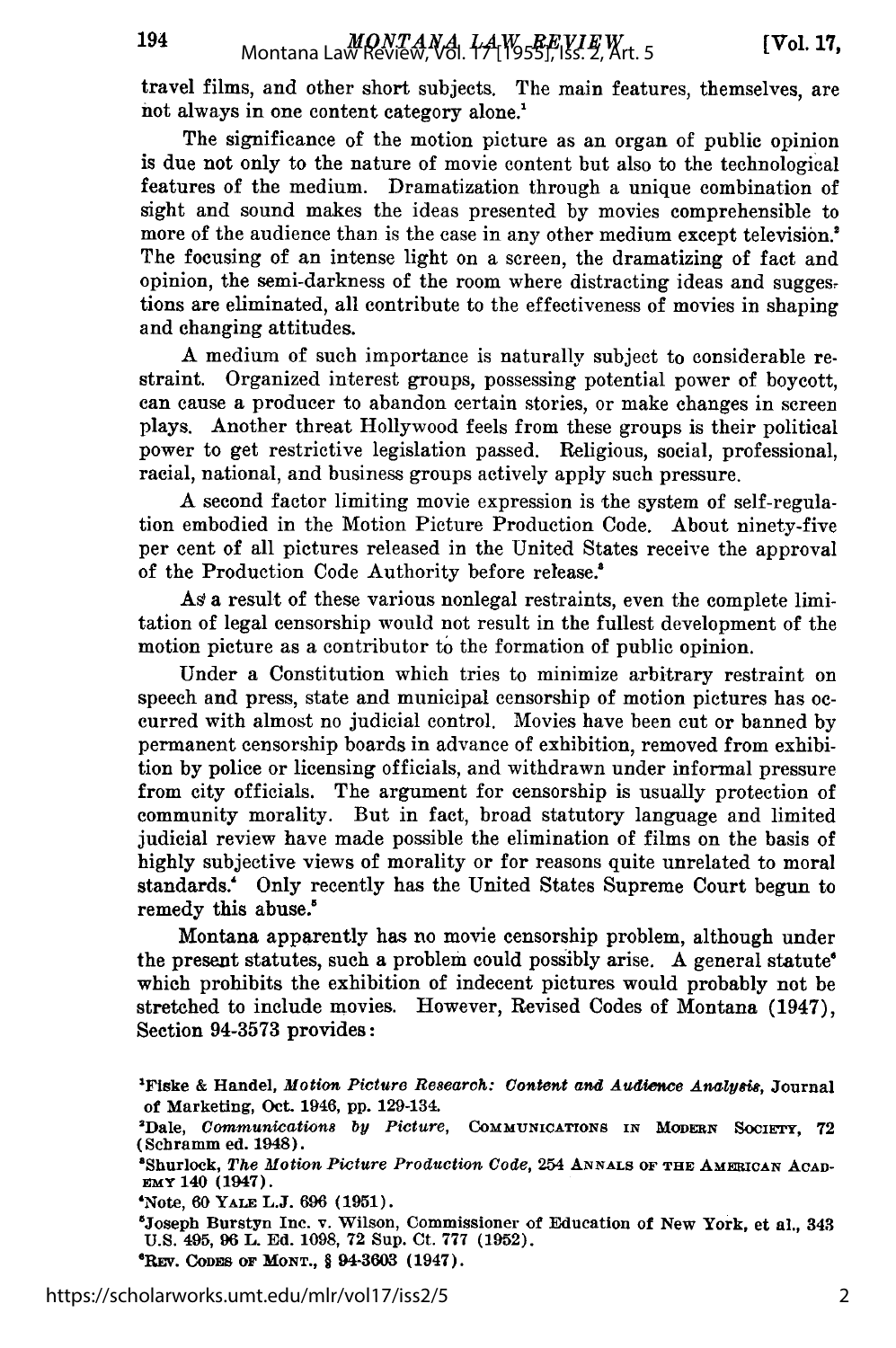travel films, and other short subjects. The main features, themselves, are not always in one content category alone.<sup>1</sup>

The significance of the motion picture as an organ of public opinion is due not only to the nature of movie content but also to the technological features of the medium. Dramatization through a unique combination of sight and sound makes the ideas presented by movies comprehensible to more of the audience than is the case in any other medium except television.' The focusing of an intense light on a screen, the dramatizing of fact and opinion, the semi-darkness of the room where distracting ideas and suggestions are eliminated, all contribute to the effectiveness of movies in shaping and changing attitudes.

A medium of such importance is naturally subject to considerable restraint. Organized interest groups, possessing potential power of boycott, can cause a producer to abandon certain stories, or make changes in screen plays. Another threat Hollywood feels from these groups is their political power to get restrictive legislation passed. Religious, social, professional, racial, national, and business groups actively apply such pressure.

A second factor limiting movie expression is the system of self-regulation embodied in the Motion Picture Production Code. About ninety-five per cent of all pictures released in the United States receive the approval of the Production Code Authority before release.'

As a result of these various nonlegal restraints, even the complete limitation of legal censorship would not result in the fullest development of the motion picture as a contributor to the formation of public opinion.

Under a Constitution which tries to minimize arbitrary restraint on speech and press, state and municipal censorship of motion pictures has occurred with almost no judicial control. Movies have been cut or banned by permanent censorship boards in advance of exhibition, removed from exhibition by police or licensing officials, and withdrawn under informal pressure from city officials. The argument for censorship is usually protection of community morality. But in fact, broad statutory language and limited judicial review have made possible the elimination of films on the basis of highly subjective views of morality or for reasons quite unrelated to moral standards.' Only recently has the United States Supreme Court begun to remedy this abuse.'

Montana apparently has no movie censorship problem, although under the present statutes, such a problem could possibly arise. A general statute' which prohibits the exhibition of indecent pictures would probably not be stretched to include movies. However, Revised Codes of Montana (1947), Section 94-3573 provides:

194

**<sup>&#</sup>x27;Fiske & Handel,** *Motion Picture Re8earch: Content and Audience Analysis,* **Journal of Marketing, Oct. 1946, pp. 129-134.**

**<sup>&#</sup>x27;Dale,** *Communication8 by Picture,* **COMMUNICATIONS IN MODRN SOCIE'ry, 72** (Schramm ed. 1948).

<sup>&</sup>lt;sup>8</sup>Shurlock, The Motion Picture Production Code, 254 ANNALS OF THE AMERICAN ACAD-**EmY 140** (1947).

**<sup>&#</sup>x27;Note, 60 YALE L.J. 696 (1951).**

**<sup>&#</sup>x27;Joseph Burstyn Inc. v. Wilson, Commissioner of Education of New York, et al., 343 U.S. 495, 96 L. Ed. 1098, 72 Sup. Ct. 777 (1952). 6REV. CODES OF MONT., § 94-3603 (1947).**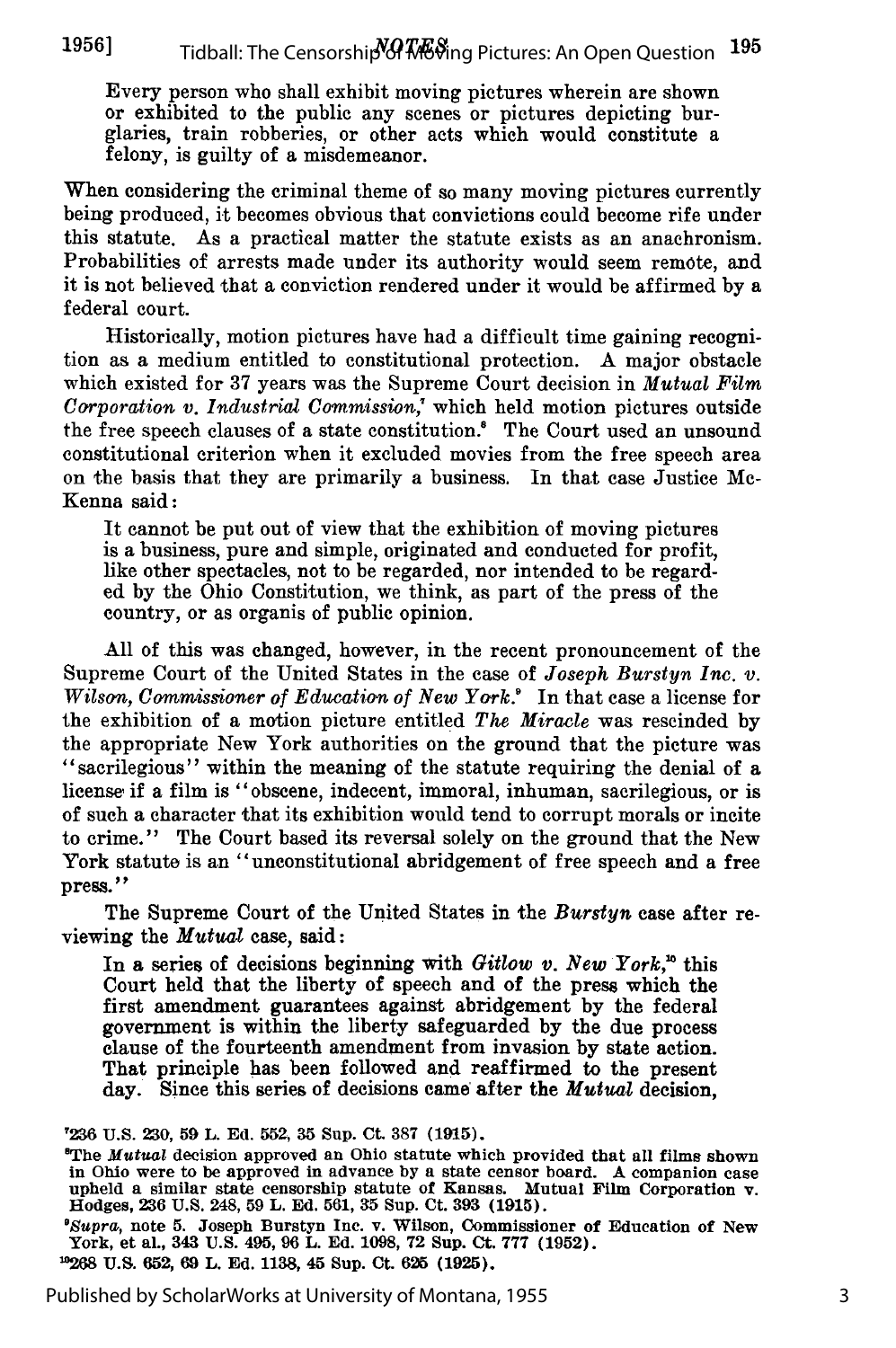Every person who shall exhibit moving pictures wherein are shown or exhibited to the public any scenes or pictures depicting burglaries, train robberies, or other acts which would constitute a felony, is guilty of a misdemeanor.

When considering the criminal theme of so many moving pictures currently being produced, it becomes obvious that convictions could become rife under this statute. As a practical matter the statute exists as an anachronism. Probabilities of arrests made under its authority would seem remote, and it is not believed that a conviction rendered under it would be affirmed by a federal court.

Historically, motion pictures have had a difficult time gaining recognition as a medium entitled to constitutional protection. A major obstacle which existed for 37 years was the Supreme Court decision in *Mutual Film Corporation v. Industrial Commission,'* which held motion pictures outside the free speech clauses of a state constitution.' The Court used an unsound constitutional criterion when it excluded movies from the free speech area on the basis that they are primarily a business. In that case Justice Mc-Kenna said:

It cannot be put out of view that the exhibition of moving pictures is a business, pure and simple, originated and conducted for profit, like other spectacles, not to be regarded, nor intended to be regarded by the Ohio Constitution, we think, as part of the press of the country, or as organis of public opinion.

All of this was changed, however, in the recent pronouncement of the Supreme Court of the United States in the case of *Joseph Burstyn Inc. v. Wilson, Comnissioner of Education of New York.'* In that case a license for the exhibition of a motion picture entitled *The Miracle* was rescinded by the appropriate New York authorities on the ground that the picture was ''sacrilegious" within the meaning of the statute requiring the denial of a license if a film is "obscene, indecent, immoral, inhuman, sacrilegious, or is of such a character that its exhibition would tend to corrupt morals or incite to crime." The Court based its reversal solely on the ground that the New York statute is an "unconstitutional abridgement of free speech and a free press."

The Supreme Court of the United States in the *Burstyn* case after reviewing the *Mutual* case, said:

In a series of decisions beginning with *Gitlow v. New York*,<sup>16</sup> this Court held that the liberty of speech and of the press which the first amendment guarantees against abridgement by the federal government is within the liberty safeguarded by the due process clause of the fourteenth amendment from invasion by state action. That principle has been followed and reaffirmed to the present day. Since this series of decisions came after the *Mutual* decision,

'236 **U.S. 230, 59** L. **Ed. 552, 35** Sup. Ct. **387 (1915).**

'The *Mutual* decision approved an Ohio statute which provided that all films shown in Ohio were to be approved in advance by a state censor board. A companion case<br>upheld a similar state censorship statute of Kansas. Mutual Film Corporation v.<br>Hodges, 236 U.S. 248, 59 L. Ed. 561, 35 Sup. Ct. 393 (1915).

*'Supra,* note **5.** Joseph Burstyn **Inc.** v. Wilson, Commissioner of Education of New York, et al., **343 U.S. 495, 96 L.** Ed. 1098, 72 Sup. Ct. 777 (1952).<br> **POGS U.S. 652, 69 L. Ed. 1138, 45 Sup. Ct. 625 (1925).**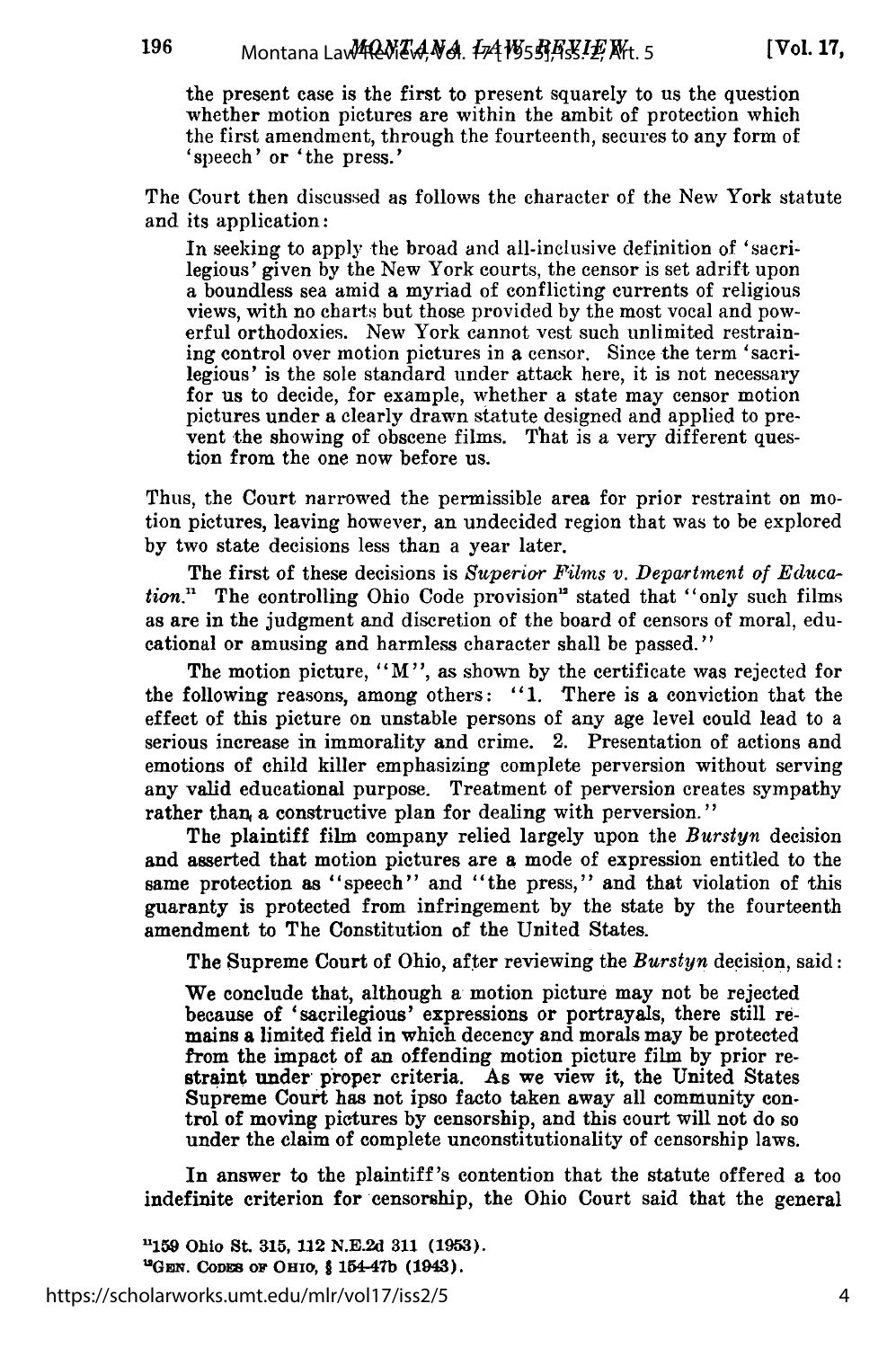the present case is the first to present squarely to us the question whether motion pictures are within the ambit of protection which the first amendment, through the fourteenth, secures to any form of 'speech' or 'the press.'

The Court then discussed as follows the character of the New York statute and its application:

In seeking to apply the broad and all-inclusive definition of 'sacrilegious' given by the New York courts, the censor is set adrift upon a boundless sea amid a myriad of conflicting currents of religious views, with no charts but those provided by the most vocal and powerful orthodoxies. New York cannot vest such unlimited restraining control over motion pictures in a censor. Since the term 'sacrilegious' is the sole standard under attack here, it is not necessary for us to decide, for example, whether a state may censor motion pictures under a clearly drawn statute designed and applied to prevent the showing of obscene films. That is a very different question from the one now before us.

Thus, the Court narrowed the permissible area for prior restraint on motion pictures, leaving however, an undecided region that was to be explored by two state decisions less than a year later.

The first of these decisions is *Superiar Films v. Department of Education.*" The controlling Ohio Code provision" stated that "only such films as are in the judgment and discretion of the board of censors of moral, educational or amusing and harmless character shall be passed."

The motion picture, "M", as shown by the certificate was rejected for the following reasons, among others: "1. There is a conviction that the effect of this picture on unstable persons of any age level could lead to a serious increase in immorality and crime. 2. Presentation of actions and emotions of child killer emphasizing complete perversion without serving any valid educational purpose. Treatment of perversion creates sympathy rather than a constructive plan for dealing with perversion."

The plaintiff film company relied largely upon the *Burstyn* decision and asserted that motion pictures are a mode of expression entitled to the same protection as "speech" and "the press," and that violation of this guaranty is protected from infringement by the state by the fourteenth amendment to The Constitution of the United States.

The Supreme Court of Ohio, after reviewing the *Burstyn* decision, said:

We conclude that, although a motion picture may not be rejected because of 'sacrilegious' expressions or portrayals, there still remains a limited field in which decency and morals may be protected from the impact of an offending motion picture film by prior restraint under proper criteria. As we view it, the United States Supreme Court has not ipso facto taken away all community control of moving pictures by censorship, and this court will not do so under the claim of complete unconstitutionality of censorship laws.

In answer to the plaintiff's contention that the statute offered a too indefinite criterion for censorship, the Ohio Court said that the general

**'159 Ohio St. 315, 112 N.E.2d 311 (1953). "G w. CODES oF OHIO,** § **154-47b (1943).**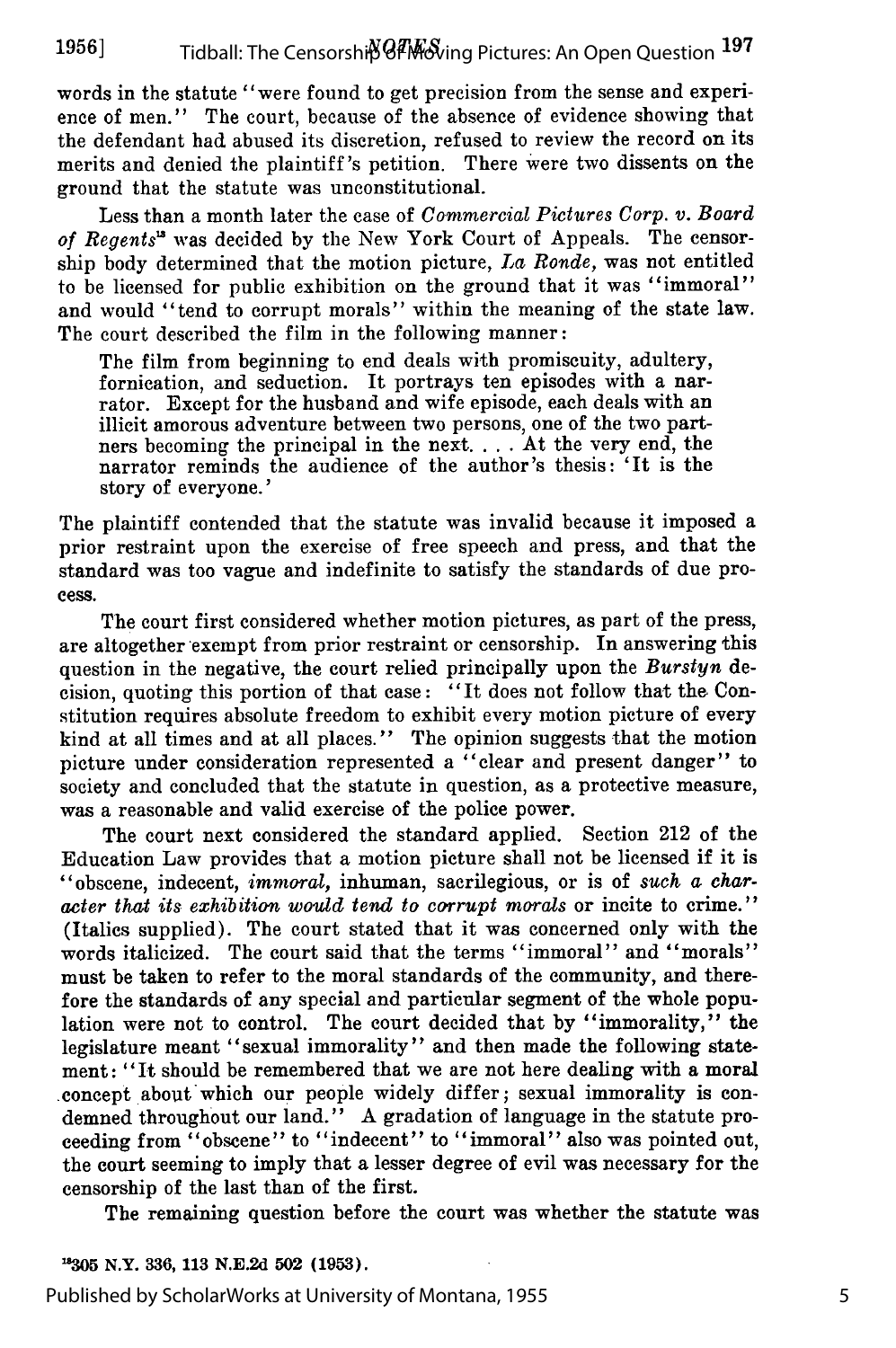words in the statute "were found to get precision from the sense and experience of men." The court, because of the absence of evidence showing that the defendant had abused its discretion, refused to review the record on its merits and denied the plaintiff's petition. There were two dissents on the ground that the statute was unconstitutional.

Less than a month later the case of *Commercial Pictures Corp. v. Board of Regents'* was decided by the New York Court of Appeals. The censorship body determined that the motion picture, *La Ronde,* was not entitled to be licensed for public exhibition on the ground that it was "immoral" and would "tend to corrupt morals" within the meaning of the state law. The court described the film in the following manner:

The film from beginning to end deals with promiscuity, adultery, fornication, and seduction. It portrays ten episodes with a narrator. Except for the husband and wife episode, each deals with an illicit amorous adventure between two persons, one of the two partners becoming the principal in the next. ... At the very end, the narrator reminds the audience of the author's thesis: 'It is the story of everyone.'

The plaintiff contended that the statute was invalid because it imposed a prior restraint upon the exercise of free speech and press, and that the standard was too vague and indefinite to satisfy the standards of due process.

The court first considered whether motion pictures, as part of the press, are altogether exempt from prior restraint or censorship. In answering this question in the negative, the court relied principally upon the *Burstyn* decision, quoting this portion of that case: "It does not follow that the Constitution requires absolute freedom to exhibit every motion picture of every kind at all times and at all places." The opinion suggests that the motion picture under consideration represented a "clear and present danger" to society and concluded that the statute in question, as a protective measure, was a reasonable and valid exercise of the police power.

The court next considered the standard applied. Section 212 of the Education Law provides that a motion picture shall not be licensed if it is "obscene, indecent, *immoral,* inhuman, sacrilegious, or is of *such a character that its exhibition would tend to corrupt morals* or incite to crime." (Italics supplied). The court stated that it was concerned only with the words italicized. The court said that the terms "immoral" and "morals" must be taken to refer to the moral standards of the community, and therefore the standards of any special and particular segment of the whole population were not to control. The court decided that by "immorality," the legislature meant "sexual immorality" and then made the following statement: "It should be remembered that we are not here dealing with a moral concept about which our people widely differ; sexual immorality is condemned throughout our land." A gradation of language in the statute proceeding from "obscene" to "indecent" to "immoral" also was pointed out, the court seeming to imply that a lesser degree of evil was necessary for the censorship of the last than of the first.

The remaining question before the court was whether the statute was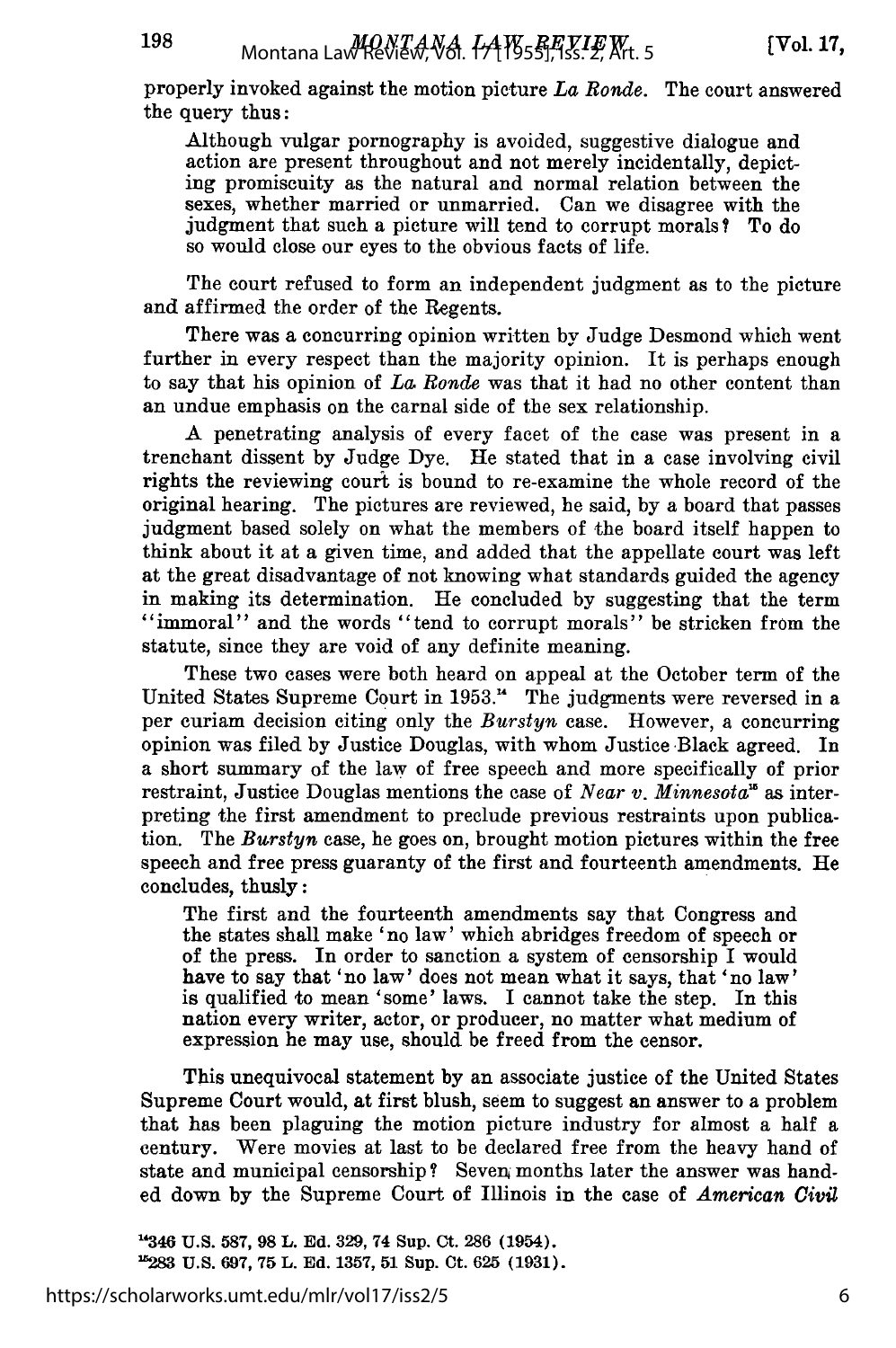198

properly invoked against the motion picture *La Ronde.* The court answered the query thus:

Although vulgar pornography is avoided, suggestive dialogue and action are present throughout and not merely incidentally, depicting promiscuity as the natural and normal relation between the sexes, whether married or unmarried. Can we disagree with the judgment that such a picture will tend to corrupt morals? To do so would close our eyes to the obvious facts of life.

The court refused to form an independent judgment as to the picture and affirmed the order of the Regents.

There was a concurring opinion written by Judge Desmond which went further in every respect than the majority opinion. It is perhaps enough to say that his opinion of *La, Ronde* was that it had no other content than an undue emphasis on the carnal side of the sex relationship.

A penetrating analysis of every facet of the case was present in a trenchant dissent by Judge Dye. He stated that in a case involving civil rights the reviewing court is bound to re-examine the whole record of the original hearing. The pictures are reviewed, he said, by a board that passes judgment based solely on what the members of the board itself happen to think about it at a given time, and added that the appellate court was left at the great disadvantage of not knowing what standards guided the agency in making its determination. He concluded by suggesting that the term "immoral" and the words "tend to corrupt morals" be stricken from the statute, since they are void of any definite meaning.

These two cases were both heard on appeal at the October term of the United States Supreme Court in 1953. " The judgments were reversed in a per curiam decision citing only the *Burstyn* case. However, a concurring opinion was filed by Justice Douglas, with whom Justice Black agreed. In a short summary of the law of free speech and more specifically of prior restraint, Justice Douglas mentions the case of *Near v. Minnesota'* as interpreting the first amendment to preclude previous restraints upon publication. The *Burstyn* case, he goes on, brought motion pictures within the free speech and free press guaranty of the first and fourteenth amendments. He concludes, thusly:

The first and the fourteenth amendments say that Congress and the states shall make 'no law' which abridges freedom of speech or of the press. In order to sanction a system of censorship I would have to say that 'no law' does not mean what it says, that 'no law' is qualified to mean 'some' laws. I cannot take the step. In this nation every writer, actor, or producer, no matter what medium of expression he may use, should be freed from the censor.

This unequivocal statement by an associate justice of the United States Supreme Court would, at first blush, seem to suggest an answer to a problem that has been plaguing the motion picture industry for almost a half a century. Were movies at last to be declared free from the heavy hand of state and municipal censorship? Seven, months later the answer was handed down by the Supreme Court of Illinois in the case of *American Civil*

**1346 U.S. 587, 98** L. **Ed. 329, 74 Sup. Ct. 286** (1954). **283 U.S. 697, 75 L. Ed. 1357, 51 Sup. Ct. 625 (1931).**

https://scholarworks.umt.edu/mlr/vol17/iss2/5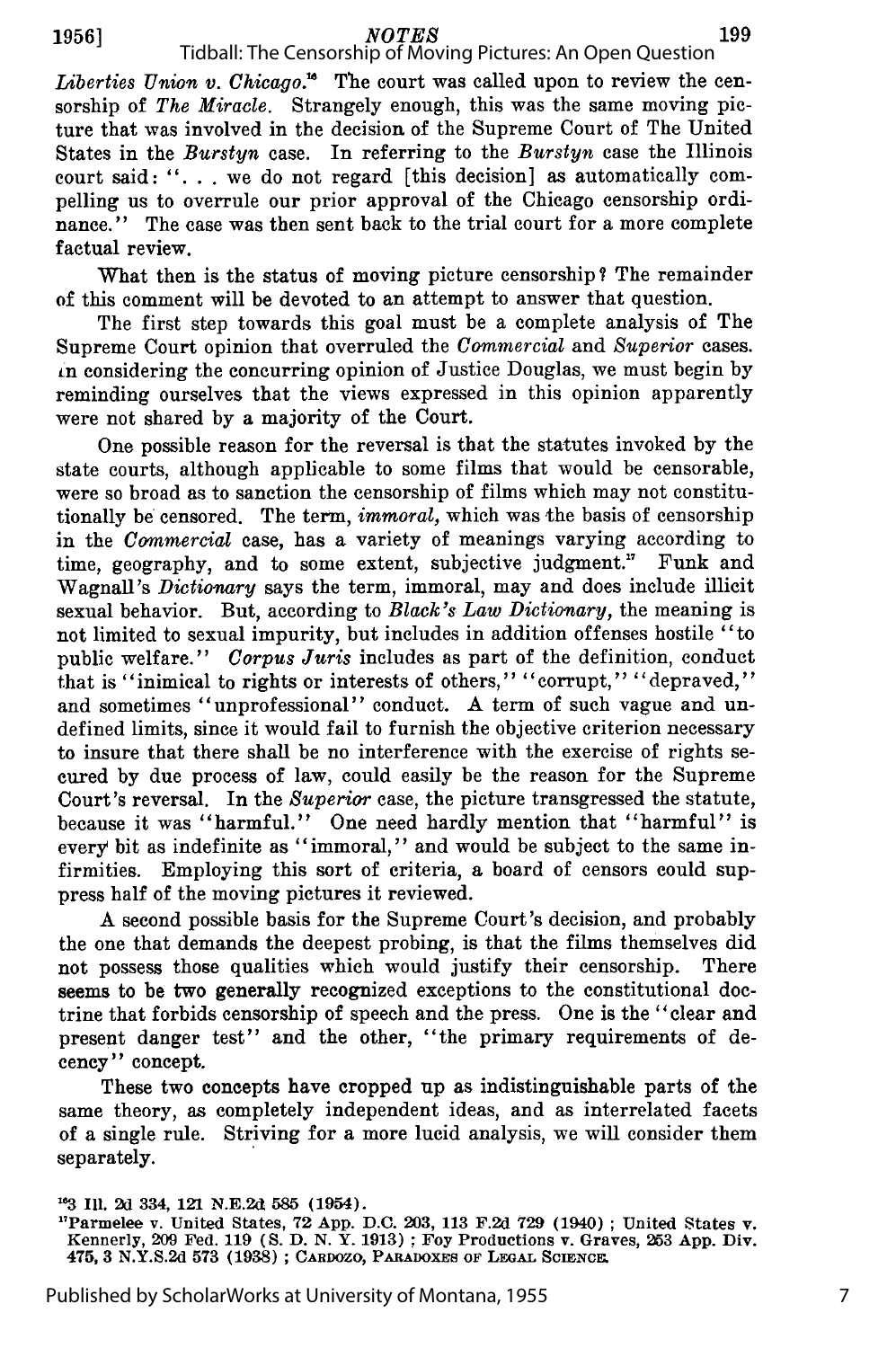#### **1956]** *NOTES*

*Liberties Union v. Chicago.*<sup>16</sup> The court was called upon to review the censorship of *The Miracle.* Strangely enough, this was the same moving picture that was involved in the decision of the Supreme Court of The United States in the *Burstyn* case. In referring to the *Burstyn* case the Illinois court said: ". **.** . we do not regard [this decision] as automatically compelling us to overrule our prior approval of the Chicago censorship ordinance." The case was then sent back to the trial court for a more complete factual review. Tidball: The Censorship of Moving Pictures: An Open Question

What then is the status of moving picture censorship? The remainder of this comment will be devoted to an attempt to answer that question.

The first step towards this goal must be a complete analysis of The Supreme Court opinion that overruled the *Commercial* and *Superior* cases. tn considering the concurring opinion of Justice Douglas, we must begin by reminding ourselves that the views expressed in this opinion apparently were not shared by a majority of the Court.

One possible reason for the reversal is that the statutes invoked **by** the state courts, although applicable to some films that would be censorable, were so broad as to sanction the censorship of films which may not constitutionally be censored. The term, *immoral,* which was the basis of censorship in the *Commercial* case, has a variety of meanings varying according to time, geography, and to some extent, subjective judgment." Wagnall's *Dictionary* says the term, immoral, may and does include illicit sexual behavior. But, according to *Black's Law Dictionary,* the meaning is not limited to sexual impurity, but includes in addition offenses hostile "to public welfare." *Corpus Juris* includes as part of the definition, conduct that is "inimical to rights or interests of others," ''corrupt," ''depraved," and sometimes "unprofessional" conduct. A term of such vague and undefined limits, since it would fail to furnish the objective criterion necessary to insure that there shall be no interference with the exercise of rights secured by due process of law, could easily be the reason for the Supreme Court's reversal. In the *Superior* case, the picture transgressed the statute, because it was "harmful." One need hardly mention that "harmful" is every bit as indefinite as "immoral," and would be subject to the same infirmities. Employing this sort of criteria, a board of censors could suppress half of the moving pictures it reviewed.

A second possible basis for the Supreme Court's decision, and probably the one that demands the deepest probing, is that the films themselves did not possess those qualities which would justify their censorship. There seems to be two generally recognized exceptions to the constitutional doctrine that forbids censorship of speech and the press. One is the "clear and present danger test" and the other, "the primary requirements of decency" concept.

These two concepts have cropped up as indistinguishable parts of the same theory, as completely independent ideas, and as interrelated facets of a single rule. Striving for a more lucid analysis, we will consider them separately.

**<sup>&</sup>quot;3 Ill. 2d** 334, **121 N.E.2d 585** (1954).

**<sup>&</sup>quot;Parmelee v. United States, 72 App. D.C. 203, 113 F.2d 729 (1940) ; United States v. Kennerly, 209 Fed. 119 (S. D. N. Y. 1913) ; Foy Productions v. Graves, 253 App. Div. 475, 3 N.Y.S.2d 573 (1938) ; CARDOZO, PARADOXES OF LEGAL SCIENCE.**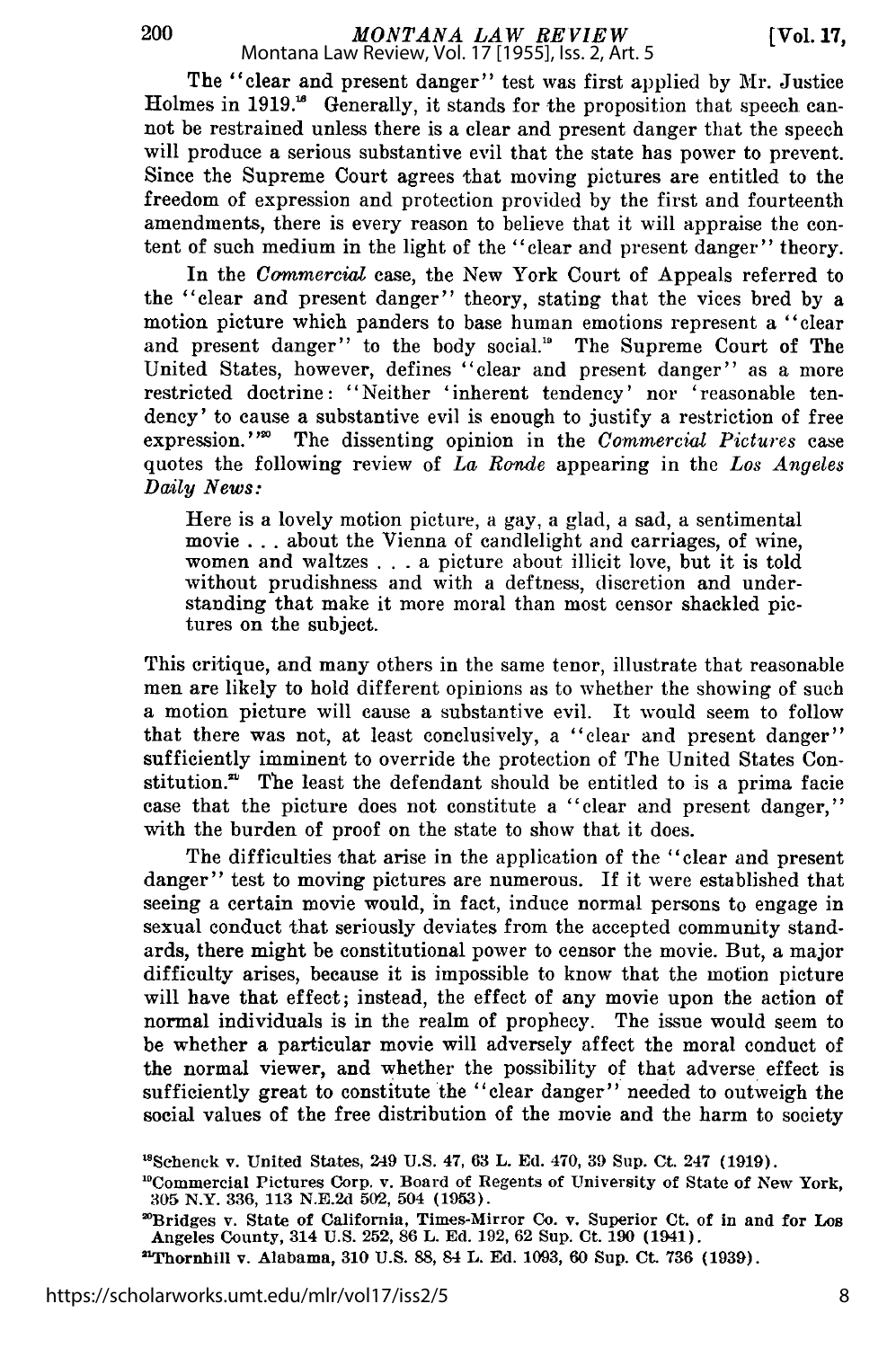200

The "clear and present danger" test was first applied by Mr. Justice Holmes in 1919.<sup>18</sup> Generally, it stands for the proposition that speech cannot be restrained unless there is a clear and present danger that the speech will produce a serious substantive evil that the state has power to prevent. Since the Supreme Court agrees that moving pictures are entitled to the freedom of expression and protection provided by the first and fourteenth amendments, there is every reason to believe that it will appraise the content of such medium in the light of the "clear and present danger" theory.

In the *Commercial* case, the New York Court of Appeals referred to the "clear and present danger" theory, stating that the vices bred by a motion picture which panders to base human emotions represent a "clear and present danger" to the body social.<sup>10</sup> The Supreme Court of The United States, however, defines "clear and present danger" as a more restricted doctrine: "Neither 'inherent tendency' nor 'reasonable tendency' to cause a substantive evil is enough to justify a restriction of free expression."<sup>20</sup> The dissenting opinion in the *Commercial Pictures* case quotes the following review of *La Ronde* appearing in the *Los Angeles Daily News:*

Here is a lovely motion picture, a gay, a glad, a sad, a sentimental movie .. .about the Vienna of candlelight and carriages, of wine, women and waltzes . . **.** a picture about illicit love, but it is told without prudishness and with a deftness, discretion and understanding that make it more moral than most censor shackled pictures on the subject.

This critique, and many others in the same tenor, illustrate that reasonable men are likely to hold different opinions as to whether the showing of such a motion picture will cause a substantive evil. It would seem to follow that there was not, at least conclusively, a "clear and present danger" sufficiently imminent to override the protection of The United States Constitution. $n^{2i}$  The least the defendant should be entitled to is a prima facie case that the picture does not constitute a "clear and present danger," with the burden of proof on the state to show that it does.

The difficulties that arise in the application of the "clear and present danger" test to moving pictures are numerous. If it were established that seeing a certain movie would, in fact, induce normal persons to engage in sexual conduct that seriously deviates from the accepted community standards, there might be constitutional power to censor the movie. But, a major difficulty arises, because it is impossible to know that the motion picture will have that effect; instead, the effect of any movie upon the action of normal individuals is in the realm of prophecy. The issue would seem to be whether a particular movie will adversely affect the moral conduct of the normal viewer, and whether the possibility of that adverse effect is sufficiently great to constitute the "clear danger" needed to outweigh the social values of the free distribution of the movie and the harm to society

'Schenck **v.** United States, **249 U.S. 47, 63 L. Ed.** 470, **39** Sup. **Ct. 247 (1919).**

'Bridges v. State of California, Times-Mirror Co. v. Superior Ct. of in and for **Los** Angeles County, 314 **U.S. 252, 86** L. **Ed. 192, 62** Sup. **Ct. 190** (1941).

'Thornhill v. Alabama, **310 U.S. 88,** 84 L. **Ed. 1093, 60** Sup. **Ct. 736 (1939).**

<sup>&</sup>quot;Commercial Pictures Corp. v. Board of Regents of University of State of New York, **305** N.Y. **336, 113 N.E.2d** 502, 504 **(1953).**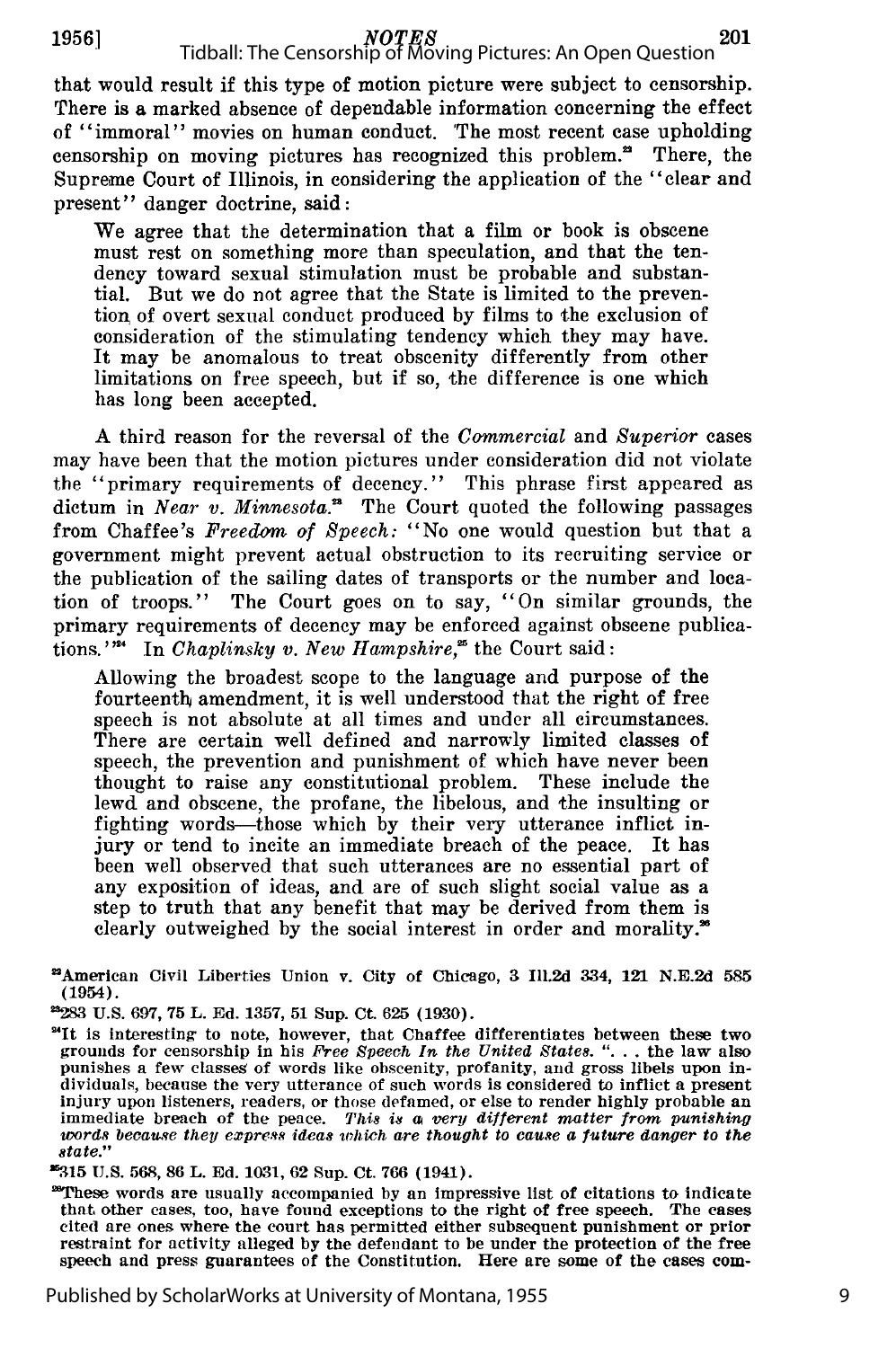# **19561** *NOTES* Tidball: The Censorship of Moving Pictures: An Open Question

that would result if this type of motion picture were subject to censorship. There is a marked absence of dependable information concerning the effect of "immoral" movies on human conduct. 'The most recent case upholding censorship on moving pictures has recognized this problem." There, the Supreme Court of Illinois, in considering the application of the "clear and present" danger doctrine, said:

We agree that the determination that a film or book is obscene must rest on something more than speculation, and that the tendency toward sexual stimulation must be probable and substantial. But we do not agree that the State is limited to the prevention of overt sexual conduct produced by films to the exclusion of consideration of the stimulating tendency which they may have. It may be anomalous to treat obscenity differently from other limitations on free speech, but if so, the difference is one which has long been accepted.

A third reason for the reversal of the *Commercial* and *Superior* cases may have been that the motion pictures under consideration did not violate the "primary requirements of decency." This phrase first appeared as dictum in *Near v. Minnesota.*<sup>28</sup> The Court quoted the following passages from Chaffee's *Freedom of Speech:* "No one would question but that a government might prevent actual obstruction to its recruiting service or the publication of the sailing dates of transports or the number and location of troops." The Court goes on to say, "On similar grounds, the primary requirements of decency may be enforced against obscene publications."<sup>24</sup> In *Chaplinsky v. New Hampshire*,<sup>25</sup> the Court said:

Allowing the broadest scope to the language and purpose of the fourteenth amendment, it is well understood that the right of free speech is not absolute at all times and under all circumstances. There are certain well defined and narrowly limited classes of speech, the prevention and punishment of which have never been thought to raise any constitutional problem. These include the lewd and obscene, the profane, the libelous, and the insulting or fighting words-those which by their very utterance inflict injury or tend to incite an immediate breach of the peace. It has been well observed that such utterances are no essential part of any exposition of ideas, and are of such slight social value as a step to truth that any benefit that may be derived from them is clearly outweighed by the social interest in order and morality.<sup>36</sup>

"'315 U.S. **568,** 86 L. Ed. 1031, **62** Sup. Ct. **766** (1941).

'\*These words are usually accompanied by an Impressive list of citations to indicate that other cases, too, have found exceptions to the right of free speech. The cases cited are ones where the court has permitted either subsequent punishment or prior restraint for activity alleged by the defendant to be under the protection of the free speech and press guarantees of the Constitution. Here are some of the cases **corn-**

<sup>&#</sup>x27;American Civil Liberties Union v. City of Chicago, **3** Ill.2d 334, **121** N.E.2d **585** (1954).

<sup>-283</sup> U.S. 697, 75 L. Ed. 1357, 51 Sup. Ct. 625 (1930).

<sup>&</sup>lt;sup>24</sup>It is interesting to note, however, that Chaffee differentiates between these two grounds for censorship in his *Free Speech In the United States.* **". . .** the law also punishes a few classes of words like obscenity, profanity, and gross libels upon individuals, because the very utterance of such words is considered to inflict a present<br>injury upon listeners, readers, or those defamed, or else to render highly probable an<br>immediate breach of the peace. This is a very di *immediate breach of the peace. This is a very different matter from punishing words because they express ideas which are thought to cause a future danger to the state."*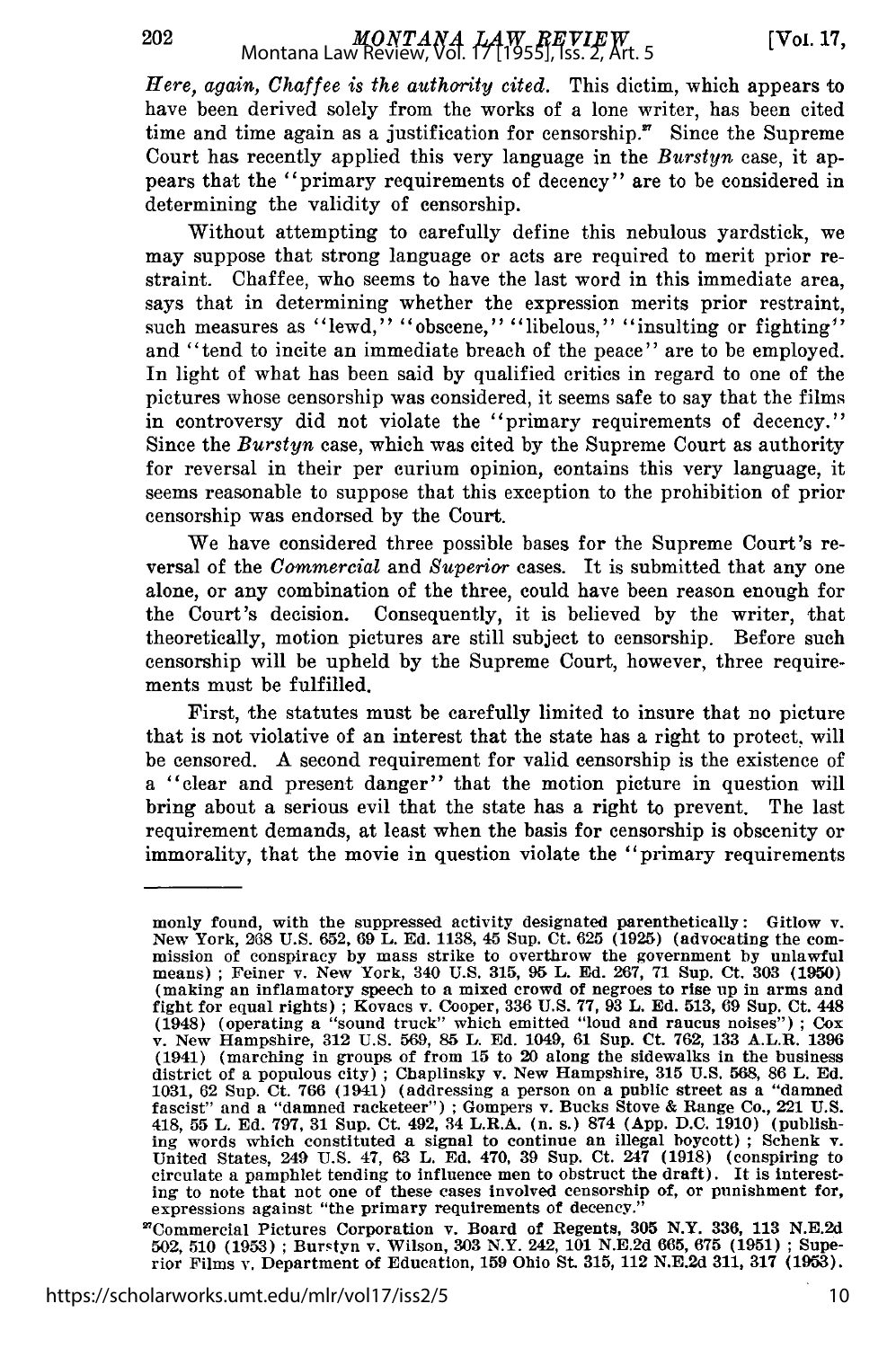*Here, again, Chaffee is the authority cited.* This dictim, which appears to have been derived solely from the works of a lone writer, has been cited time and time again as a justification for censorship. $\mathbf{F}$  Since the Supreme Court has recently applied this very language in the *Burstyn* case, it appears that the "primary requirements of decency" are to be considered in determining the validity of censorship.

Without attempting to carefully define this nebulous yardstick, we may suppose that strong language or acts are required to merit prior restraint. Chaffee, who seems to have the last word in this immediate area, says that in determining whether the expression merits prior restraint, such measures as "lewd," "obscene," "libelous," "insulting or fighting" and "tend to incite an immediate breach of the peace" are to be employed. In light of what has been said by qualified critics in regard to one of the pictures whose censorship was considered, it seems safe to say that the films in controversy did not violate the "primary requirements of decency." Since the *Burstyn* case, which was cited by the Supreme Court as authority for reversal in their per curium opinion, contains this very language, it seems reasonable to suppose that this exception to the prohibition of prior censorship was endorsed by the Court.

We have considered three possible bases for the Supreme Court's reversal of the *Commercial* and *Superior* cases. It is submitted that any one alone, or any combination of the three, could have been reason enough for the Court's decision. Consequently, it is believed by the writer, that theoretically, motion pictures are still subject to censorship. Before such censorship will be upheld by the Supreme Court, however, three requirements must be fulfilled.

First, the statutes must be carefully limited to insure that no picture that is not violative of an interest that the state has a right to protect, will be censored. A second requirement for valid censorship is the existence of a "clear and present danger" that the motion picture in question will bring about a serious evil that the state has a right to prevent. The last requirement demands, at least when the basis for censorship is obscenity or immorality, that the movie in question violate the "primary requirements

monly found, with the suppressed activity designated parenthetically: Gitlow v.<br>New York, 268 U.S. 652, 69 L. Ed. 1138, 45 Sup. Ct. 625 (1925) (advocating the com-<br>mission of conspiracy by mass strike to overthrow the gove means) ; Feiner v. New York, 340 U.S. 315, 95 L. Ed. 267, 71 Sup. Ct. 303 (1950) (making an inflamatory speech to a mixed crowd of negroes to rise up in arms and fight for equal rights) **;** Kovacs v. Cooper, 336 U.S. 77, 93 L. Ed. 513, 69 Sup. Ct. 448 (1948) (operating a "sound truck" which emitted "loud and raucus noises") ; Cox v. New Hampshire, 312 U.S. 569, 85 L. Ed. 1049, 61 Sup. Ct. **762,** 133 A.L.R. 1396 (1941) (marching in groups of from 15 to 20 along the sidewalks in the business district of a populous city) ; Chaplinsky v. New Hampshire, **315** U.S. 568, 86 L. Ed. 1031, 62 Sup. Ct. 766 (1941) (addressing a person on a public street as a "damned fascist" and a "damned racketeer") **;** Gompers v. Bucks Stove & Range Co., 221 U.S. 418, 55 L. Ed. 797, 31 Sup. Ct. 492, 34 L.R.A. (n. s.) 874 (App. D.C. 1910) (publishing words which constituted a signal to continue an illegal boycott); Schenk v. United States, 249 U.S. 47, 63 L. Ed. 470, 39 Sup. Ct. 24 ing to note that not one of these cases involved censorship of, or punishment for, expressions against "the primary requirements of decency."

<sup>&</sup>quot;Commercial Pictures Corporation v. Board of Regents, **305** N.Y. 336, 113 N.E.2d 502, 510 (1953) **;** Burstyn v. Wilson, **303** N.Y. 242, **101** N.E.2d 665, **675** (1951) **;** Superior Films v. Department of Education, 159 Ohio St. 315, 112 N.E.2d 311, 317 (1953).